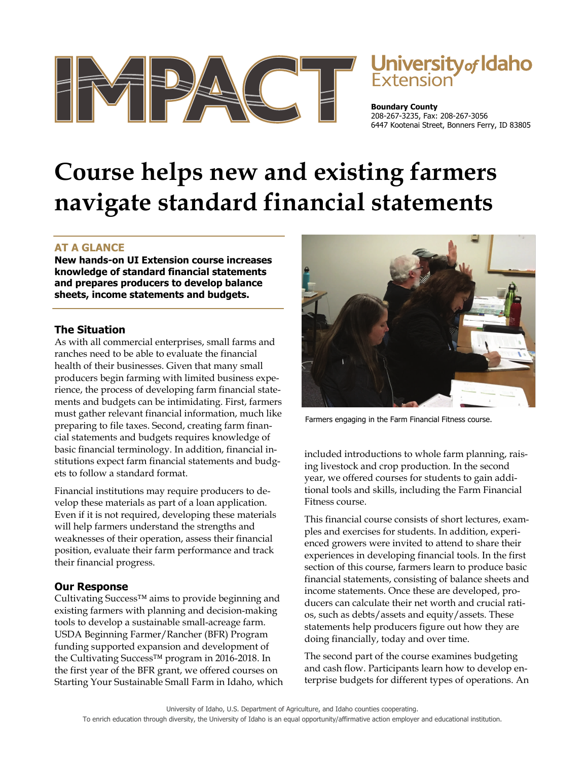

# Jniversity<sub>of</sub> Idaho

**Boundary County**  208-267-3235, Fax: 208-267-3056 6447 Kootenai Street, Bonners Ferry, ID 83805

# **Course helps new and existing farmers navigate standard financial statements**

## **AT A GLANCE**

**New hands-on UI Extension course increases knowledge of standard financial statements and prepares producers to develop balance sheets, income statements and budgets.** 

#### **The Situation**

As with all commercial enterprises, small farms and ranches need to be able to evaluate the financial health of their businesses. Given that many small producers begin farming with limited business experience, the process of developing farm financial statements and budgets can be intimidating. First, farmers must gather relevant financial information, much like preparing to file taxes. Second, creating farm financial statements and budgets requires knowledge of basic financial terminology. In addition, financial institutions expect farm financial statements and budgets to follow a standard format.

Financial institutions may require producers to develop these materials as part of a loan application. Even if it is not required, developing these materials will help farmers understand the strengths and weaknesses of their operation, assess their financial position, evaluate their farm performance and track their financial progress.

## **Our Response**

Cultivating Success™ aims to provide beginning and existing farmers with planning and decision-making tools to develop a sustainable small-acreage farm. USDA Beginning Farmer/Rancher (BFR) Program funding supported expansion and development of the Cultivating Success™ program in 2016-2018. In the first year of the BFR grant, we offered courses on Starting Your Sustainable Small Farm in Idaho, which



Farmers engaging in the Farm Financial Fitness course.

included introductions to whole farm planning, raising livestock and crop production. In the second year, we offered courses for students to gain additional tools and skills, including the Farm Financial Fitness course.

This financial course consists of short lectures, examples and exercises for students. In addition, experienced growers were invited to attend to share their experiences in developing financial tools. In the first section of this course, farmers learn to produce basic financial statements, consisting of balance sheets and income statements. Once these are developed, producers can calculate their net worth and crucial ratios, such as debts/assets and equity/assets. These statements help producers figure out how they are doing financially, today and over time.

The second part of the course examines budgeting and cash flow. Participants learn how to develop enterprise budgets for different types of operations. An